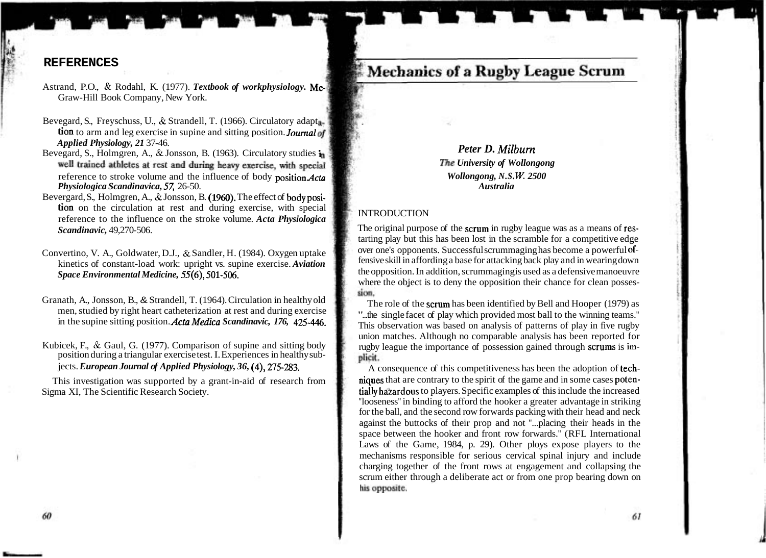# **Mechanics of a Rugby League Scrum**

Bevegard, S., Holmgren, A., & Jonsson, B. (1963). Circulatory studies i *Peter D. Milbum The University of Wollongong*  reference to stroke volume and the influence of body positionActa *Wollongong, N. S. W; 2500 Physiologica Scandinavica,* 57, 26-50. *Australia* 

## reference to the influence on the stroke volume. *Acta Physiologica* INTRODUCTION

The original purpose of the scrum in rugby league was as a means of restarting play but this has been lost in the scramble for a competitive edge over one's opponents. Successful scrummaging has become a powerful offensive skill in affording a base for attacking back play and in wearing down the opposition. In addition, scrummaging is used as a defensive manoeuvre where the object is to deny the opposition their chance for clean posses- $\frac{1}{\sin \theta}$ .<br>The role of the scrum has been identified by Bell and Hooper (1979) as

"...the single facet of play which provided most ball to the winning teams." This observation was based on analysis of patterns of play in five rugby union matches. Although no comparable analysis has been reported for rugby league the importance of possession gained through scrums is implicit.

A consequence of this competitiveness has been the adoption of techniques that are contrary to the spirit of the game and in some cases potentially hazardous to players. Specific examples of this include the increased "looseness" in binding to afford the hooker a greater advantage in striking for the ball, and the second row forwards packing with their head and neck against the buttocks of their prop and not "...placing their heads in the space between the hooker and front row forwards." (RFL International Laws of the Game, 1984, p. 29). Other ploys expose players to the mechanisms responsible for serious cervical spinal injury and include charging together of the front rows at engagement and collapsing the scrum either through a deliberate act or from one prop bearing down on his opposite.

61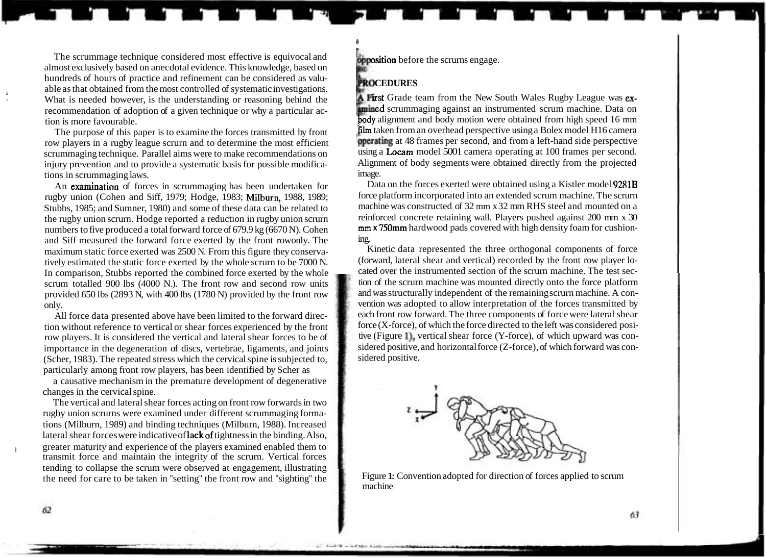The scrummage technique considered most effective is equivocal and almost exclusively based on anecdotal evidence. This knowledge, based on hundreds of hours of practice and refinement can be considered as valuable as that obtained from the most controlled of systematic investigations. **<sup>1</sup>** What is needed however, is the understanding or reasoning behind the recommendation of adoption of a given technique or why a particular action is more favourable.

The purpose of this paper is to examine the forces transmitted by front row players in a rugby league scrurn and to determine the most efficient scrummaging technique. Parallel aims were to make recommendations on injury prevention and to provide a systematic basis for possible modifications in scrummaging laws.

An examination of forces in scrummaging has been undertaken for rugby union (Cohen and Siff, 1979; Hodge, 1983; Milburn, 1988, 1989; Stubbs, 1985; and Sumner, 1980) and some of these data can be related to the rugby union scrurn. Hodge reported a reduction in rugby union scrurn numbers to five produced a total forward force of 679.9 kg (6670 N). Cohen and Siff measured the forward force exerted by the front rowonly. The maximum static force exerted was 2500 N. From this figure they conservatively estimated the static force exerted by the whole scrurn to be 7000 N. In comparison, Stubbs reported the combined force exerted by the whole scrum totalled 900 lbs (4000 N.). The front row and second row units provided 650 lbs (2893 N, with 400 lbs (1780 N) provided by the front row only.

All force data presented above have been limited to the forward direction without reference to vertical or shear forces experienced by the front row players. It is considered the vertical and lateral shear forces to be of importance in the degeneration of discs, vertebrae, ligaments, and joints (Scher, 1983). The repeated stress which the cervical spine is subjected to, particularly among front row players, has been identified by Scher as

a causative mechanism in the premature development of degenerative changes in the cervical spine.

The vertical and lateral shear forces acting on front row forwards in two rugby union scrurns were examined under different scrummaging formations (Milburn, 1989) and binding techniques (Milburn, 1988). Increased lateral shear forces were indicative of lack of tightness in the binding. Also, greater maturity and experience of the players examined enabled them to transmit force and maintain the integrity of the scrurn. Vertical forces tending to collapse the scrum were observed at engagement, illustrating the need for care to be taken in "setting" the front row and "sighting" the **obposition** before the scrurns engage.

### **PROCEDURES**

**il** 

**A First** Grade team from the New South Wales Rugby League was ex-**Educe** are against an instrumented scrum machine. Data on **bdy** alignment and body motion were obtained from high speed 16 mm film taken from an overhead perspective using a Bolex model H16 camera bperating at 48 frames per second, and from a left-hand side perspective using a Locam model 5001 camera operating at 100 frames per second. Alignment of body segments were obtained directly from the projected image.

Data on the forces exerted were obtained using a Kistler model 9281B force platform incorporated into an extended scrum machine. The scrurn machine was constructed of 32 mm x 32 mm RHS steel and mounted on a reinforced concrete retaining wall. Players pushed against 200 mm x 30 **mm x** 750mm hardwood pads covered with high density foam for cushioning.

Kinetic data represented the three orthogonal components of force (forward, lateral shear and vertical) recorded by the front row player located over the instrumented section of the scrurn machine. The test section of the scrurn machine was mounted directly onto the force platform and was structurally independent of the remaining scrurn machine. A convention was adopted to allow interpretation of the forces transmitted by each front row forward. The three components of force were lateral shear force (X-force), of which the force directed to the left was considered positive (Figure I), vertical shear force (Y-force), of which upward was considered positive, and horizontal force (Z-force), of which forward was considered positive.



Figure 1: Convention adopted for direction of forces applied to scrum machine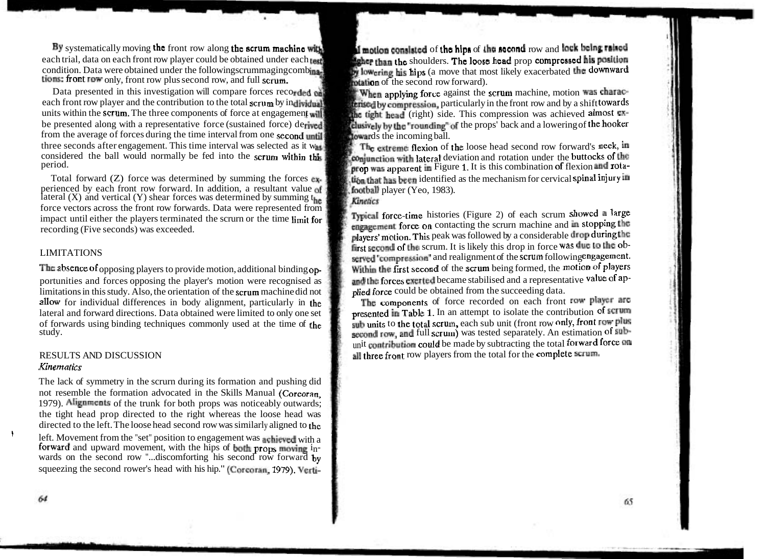By systematically moving the front row along the scrum machine with **involved and addited of the hips** of the second row and lock being ralued each trial, data on each front row player could be obtained under each rest. each trial, data on each front row player could be obtained under each test.<br>condition. Data were obtained under the followingscrummaging combina. tions: front row only, front row plus second row, and full scrum.<br>Data presented in this investigation will compare forces recorded on

Data presented in this investigation will compare forces recorded  $\frac{d}{dr}$ . When applying force against the scrum machine, motion was charac-<br>each front row player and the contribution to the total scrum by individual each front row player and the contribution to the total scrum by individual terrised by compression, particularly in the front row and by a shift towards units within the scrum. The three components of force at engagement units within the scrum. The three components of force at engagement will such that tight head (right) side. This compression was achieved almost ex-<br>be presented along with a representative force (sustained force) derived from the average of forces during the time interval from one second until three seconds after engagement. This time interval was selected as it was three seconds after engagement. This time interval was selected as it was in the extreme flexion of the loose head second row forward's neck, in considered the ball would normally be fed into the scrum within this is cons considered the ball would normally be fed into the scrum within this conjunction with lateral deviation and rotation under the buttocks of the period.

perienced by each front row forwards. The maximum in addition, and  $\theta$  is a resultant value player ( $\theta$ ) and vertical (Y) shear forces was determined by summing t<sub>he</sub> force vectors across the front row forwards. Data were represented from Pical force-time histories (Figure 2) of each scrum showed a large impact until either the players terminated the scrurn or the time limit for Pical f

portunities and forces opposing the player's motion were recognised as **and the forces exerted** became stabilised and a representation is study. Also, the orientation of the scrum machine did not **a a hied force** could limitations in this study. Also, the orientation of the scrum machine did not plied force could be obtained from the succeeding data.<br>allow for individual differences in body alignment, particularly in the The components o allow for individual differences in body alignment, particularly in the lateral and forward directions. Data obtained were limited to only one set of forwards using binding techniques commonly used at the time of the study.

# *Kirr ematics*

The lack of symmetry in the scrurn during its formation and pushing did not resemble the formation advocated in the Skills Manual (Corcoran, 1979). Alignments of the trunk for both props was noticeably outwards; the tight head prop directed to the right whereas the loose head was directed to the left. The loose head second row was similarly aligned to the

left. Movement from the "set" position to engagement was achieved with a forward and upward movement, with the hips of both props moving  $i_n$ wards on the second row "...discomforting his second row forward  $\mathbf{h}_{\mathbf{v}}$ squeezing the second rower's head with his hip." (Corcoran, 1979). Vertiby lowering his hips (a move that most likely exacerbated the downward interior of the second row forward).

clusively by the "rounding" of the props' back and a lowering of the hooker<br>dowards the incoming ball.

 $\frac{1}{2}$  prop was apparent in Figure 1. It is this combination of flexion and rota-<br>Total forward (Z) force was determined by summing the forces ex. This that has been identified as the mechanism for cervical spinal inju Total forward (Z) force was determined by summing the forces  $\mathbf{c}$ , then that has been identified as the mechanism for cervical spinal injury in perienced by each front row forward. In addition, a resultant value of **fo** 

players' motion. This peak was followed by a considerable drop during the first second of the scrum. It is likely this drop in force was due to the ob-LIMITATIONS<br>The absence of opposing players to provide motion, additional binding on.<br>Within the first second of the scrum being formed, the motion of players The absence of opposing players to provide motion, additional binding op-<br>portunities and forces opposing the player's motion were recognised as<br>and the forces exerted became stabilised and a representative value of ap-

presented in Table 1. In an attempt to isolate the contribution of serum sub units to the total scrum, each sub unit (front row only, front row plus second row, and full scrum) was tested separately. An estimation of subunit contribution could be made by subtracting the total forward force on RESULTS AND DISCUSSION all three front row players from the total for the complete serum.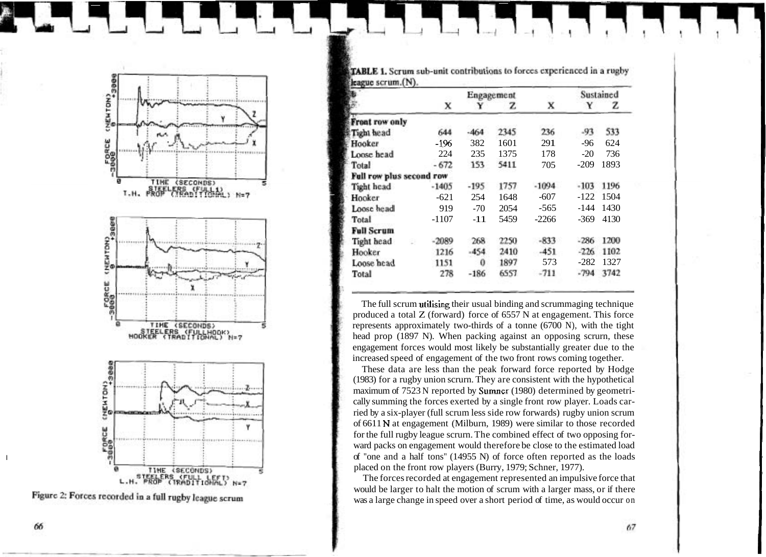

Figure 2: Forces recorded in a full rugby league scrum

TABLE 1. Scrum sub-unit contributions to forces experienced in a rugby Heague scrum (N).

|                          |         | Engagement |      |         | Sustained        |      |
|--------------------------|---------|------------|------|---------|------------------|------|
|                          | X       |            | z    | x       | $\mathbf Y$<br>z |      |
|                          |         |            |      |         |                  |      |
| Front row only           |         |            |      |         |                  |      |
| Tight head               | 644     | $-464$     | 2345 | 236     | $-93$            | 533  |
| Hooker                   | -196    | 382        | 1601 | 291     | -96              | 624  |
| Loose head               | 224     | 235        | 1375 | 178     | $-20$            | 736  |
| Total                    | $-672$  | 153        | 5411 | 705     | $-209$           | 1893 |
| Full row plus second row |         |            |      |         |                  |      |
| Tight head               | $-1405$ | $-195$     | 1757 | $-1094$ | $-103$           | 1196 |
| Hooker                   | $-621$  | 254        | 1648 | $-607$  | $-122$           | 1504 |
| Loose head               | 919     | $-70$      | 2054 | $-565$  | -144             | 1430 |
| Total                    | $-1107$ | $-11$      | 5459 | $-2266$ | $-369$           | 4130 |
| <b>Full Scrum</b>        |         |            |      |         |                  |      |
| Tight head               | $-2089$ | 268        | 2250 | $-833$  | $-286$           | 1200 |
| Hooker                   | 1216    | $-454$     | 2410 | $-451$  | $-226$           | 1102 |
| Loose head               | 1151    | 0          | 1897 | 573     | $-282$           | 1327 |
| Total                    | 278     | $-186$     | 6557 | $-711$  | $-794$           | 3742 |
|                          |         |            |      |         |                  |      |

The full scrum utilising their usual binding and scrummaging technique produced a total  $Z$  (forward) force of 6557 N at engagement. This force represents approximately two-thirds of a tonne  $(6700 \text{ N})$ , with the tight head prop (1897 N). When packing against an opposing scrurn, these engagement forces would most likely be substantially greater due to the increased speed of engagement of the two front rows coming together.

These data are less than the peak forward force reported by Hodge (1983) for a rugby union scrurn. They are consistent with the hypothetical maximum of 7523 N reported by Sumner (1980) determined by geometrically summing the forces exerted by a single front row player. Loads carried by a six-player (full scrum less side row forwards) rugby union scrum of 6611 N at engagement (Milburn, 1989) were similar to those recorded for the full rugby league scrurn. The combined effect of two opposing forward packs on engagement would therefore be close to the estimated load "one and a half tons" (14955 N) of force often reported as the loads placed on the front row players (Burry, 1979; Schner, 1977).

The forces recorded at engagement represented an impulsive force that would be larger to halt the motion of scrum with a larger mass, or if there was a large change in speed over a short period of time, as would occur on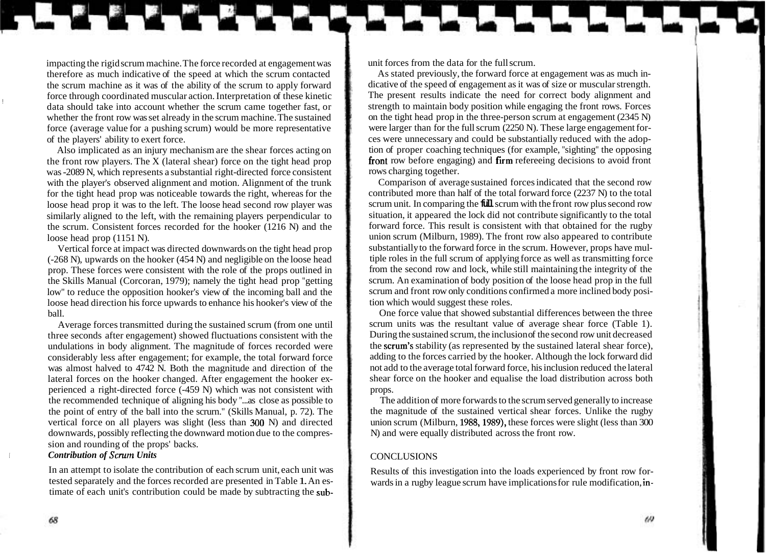impacting the rigid scrum machine. The force recorded at engagement was therefore as much indicative of the speed at which the scrum contacted the scrum machine as it was of the ability of the scrum to apply forward force through coordinated muscular action. Interpretation of these kinetic data should take into account whether the scrum came together fast, or whether the front row was set already in the scrum machine. The sustained force (average value for a pushing scrum) would be more representative of the players' ability to exert force.

Also implicated as an injury mechanism are the shear forces acting on the front row players. The X (lateral shear) force on the tight head prop was -2089 N, which represents a substantial right-directed force consistent with the player's observed alignment and motion. Alignment of the trunk for the tight head prop was noticeable towards the right, whereas for the loose head prop it was to the left. The loose head second row player was similarly aligned to the left, with the remaining players perpendicular to the scrum. Consistent forces recorded for the hooker (1216 N) and the loose head prop (1151 N).

Vertical force at impact was directed downwards on the tight head prop (-268 N), upwards on the hooker (454 N) and negligible on the loose head prop. These forces were consistent with the role of the props outlined in the Skills Manual (Corcoran, 1979); namely the tight head prop "getting low" to reduce the opposition hooker's view of the incoming ball and the loose head direction his force upwards to enhance his hooker's view of the ball.

Average forces transmitted during the sustained scrum (from one until three seconds after engagement) showed fluctuations consistent with the undulations in body alignment. The magnitude of forces recorded were considerably less after engagement; for example, the total forward force was almost halved to 4742 N. Both the magnitude and direction of the lateral forces on the hooker changed. After engagement the hooker experienced a right-directed force (-459 N) which was not consistent with the recommended technique of aligning his body "...as close as possible to the point of entry of the ball into the scrurn." (Skills Manual, p. 72). The vertical force on all players was slight (less than 300 N) and directed downwards, possibly reflecting the downward motion due to the compression and rounding of the props' backs.

### *Contribution of Scrum Units*

In an attempt to isolate the contribution of each scrum unit, each unit was tested separately and the forces recorded are presented in Table 1. An estimate of each unit's contribution could be made by subtracting the subunit forces from the data for the full scrum.

As stated previously, the forward force at engagement was as much indicative of the speed of engagement as it was of size or muscular strength. The present results indicate the need for correct body alignment and strength to maintain body position while engaging the front rows. Forces on the tight head prop in the three-person scrum at engagement (2345 N) were larger than for the full scrum (2250 N). These large engagement forces were unnecessary and could be substantially reduced with the adoption of proper coaching techniques (for example, "sighting" the opposing fiont row before engaging) and firm refereeing decisions to avoid front rows charging together.

Comparison of average sustained forces indicated that the second row contributed more than half of the total forward force (2237 N) to the total scrum unit. In comparing the **full** scrum with the front row plus second row situation, it appeared the lock did not contribute significantly to the total forward force. This result is consistent with that obtained for the rugby union scrum (Milburn, 1989). The front row also appeared to contribute substantially to the forward force in the scrum. However, props have multiple roles in the full scrum of applying force as well as transmitting force from the second row and lock, while still maintaining the integrity of the scrum. An examination of body position of the loose head prop in the full scrum and front row only conditions confirmed a more inclined body position which would suggest these roles.

One force value that showed substantial differences between the three scrum units was the resultant value of average shear force (Table 1). During the sustained scrum, the inclusion of the second row unit decreased the scrum's stability (as represented by the sustained lateral shear force), adding to the forces carried by the hooker. Although the lock forward did not add to the average total forward force, his inclusion reduced the lateral shear force on the hooker and equalise the load distribution across both props.

The addition of more forwards to the scrum served generally to increase the magnitude of the sustained vertical shear forces. Unlike the rugby union scrum (Milburn, 1988,1989), these forces were slight (less than 300 N) and were equally distributed across the front row.

### **CONCLUSIONS**

Results of this investigation into the loads experienced by front row forwards in a rugby league scrum have implications for rule modification, in